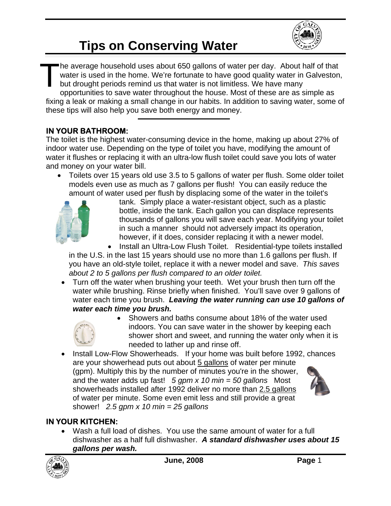

## **Tips on Conserving Water**

he average household uses about 650 gallons of water per day. About half of that water is used in the home. We're fortunate to have good quality water in Galveston, but drought periods remind us that water is not limitless. We have many

opportunities to save water throughout the house. Most of these are as simple as fixing a leak or making a small change in our habits. In addition to saving water, some of these tips will also help you save both energy and money. T

### **IN YOUR BATHROOM:**

The toilet is the highest water-consuming device in the home, making up about 27% of indoor water use. Depending on the type of toilet you have, modifying the amount of water it flushes or replacing it with an ultra-low flush toilet could save you lots of water and money on your water bill.

• Toilets over 15 years old use 3.5 to 5 gallons of water per flush. Some older toilet models even use as much as 7 gallons per flush! You can easily reduce the amount of water used per flush by displacing some of the water in the toilet's



tank. Simply place a water-resistant object, such as a plastic bottle, inside the tank. Each gallon you can displace represents thousands of gallons you will save each year. Modifying your toilet in such a manner should not adversely impact its operation, however, if it does, consider replacing it with a newer model.

• Install an Ultra-Low Flush Toilet. Residential-type toilets installed in the U.S. in the last 15 years should use no more than 1.6 gallons per flush. If you have an old-style toilet, replace it with a newer model and save. *This saves about 2 to 5 gallons per flush compared to an older toilet.*

• Turn off the water when brushing your teeth. Wet your brush then turn off the water while brushing. Rinse briefly when finished. You'll save over 9 gallons of water each time you brush. *Leaving the water running can use 10 gallons of water each time you brush.*



- Showers and baths consume about 18% of the water used indoors. You can save water in the shower by keeping each shower short and sweet, and running the water only when it is needed to lather up and rinse off.
- Install Low-Flow Showerheads. If your home was built before 1992, chances are your showerhead puts out about 5 gallons of water per minute (gpm). Multiply this by the number of minutes you're in the shower, and the water adds up fast! *5 gpm x 10 min = 50 gallons* Most showerheads installed after 1992 deliver no more than 2.5 gallons of water per minute. Some even emit less and still provide a great shower! *2.5 gpm x 10 min = 25 gallons*



### **IN YOUR KITCHEN:**

• Wash a full load of dishes. You use the same amount of water for a full dishwasher as a half full dishwasher. *A standard dishwasher uses about 15 gallons per wash.*